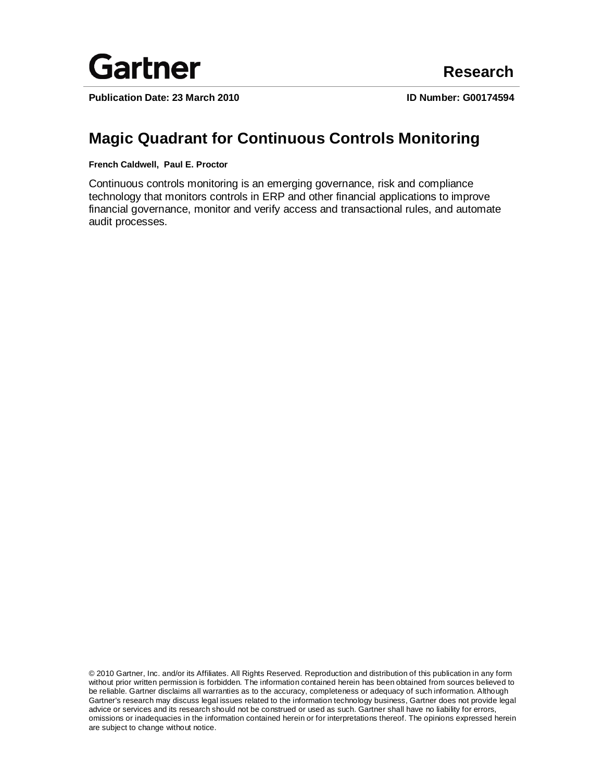

**Publication Date: 23 March 2010 ID Number: G00174594**

# **Magic Quadrant for Continuous Controls Monitoring**

**French Caldwell, Paul E. Proctor**

Continuous controls monitoring is an emerging governance, risk and compliance technology that monitors controls in ERP and other financial applications to improve financial governance, monitor and verify access and transactional rules, and automate audit processes.

© 2010 Gartner, Inc. and/or its Affiliates. All Rights Reserved. Reproduction and distribution of this publication in any form without prior written permission is forbidden. The information contained herein has been obtained from sources believed to be reliable. Gartner disclaims all warranties as to the accuracy, completeness or adequacy of such information. Although Gartner's research may discuss legal issues related to the information technology business, Gartner does not provide legal advice or services and its research should not be construed or used as such. Gartner shall have no liability for errors, omissions or inadequacies in the information contained herein or for interpretations thereof. The opinions expressed herein are subject to change without notice.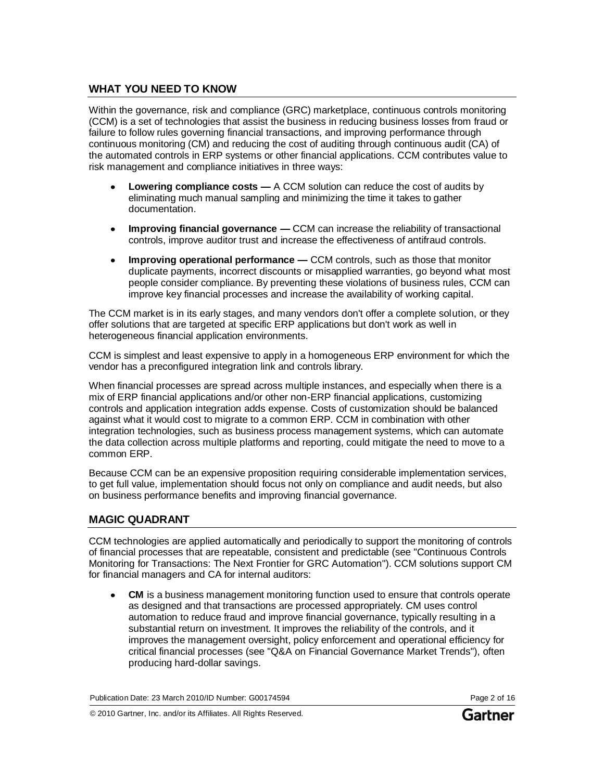## **WHAT YOU NEED TO KNOW**

Within the governance, risk and compliance (GRC) marketplace, continuous controls monitoring (CCM) is a set of technologies that assist the business in reducing business losses from fraud or failure to follow rules governing financial transactions, and improving performance through continuous monitoring (CM) and reducing the cost of auditing through continuous audit (CA) of the automated controls in ERP systems or other financial applications. CCM contributes value to risk management and compliance initiatives in three ways:

- **Lowering compliance costs —** A CCM solution can reduce the cost of audits by eliminating much manual sampling and minimizing the time it takes to gather documentation.
- **Improving financial governance —** CCM can increase the reliability of transactional controls, improve auditor trust and increase the effectiveness of antifraud controls.
- **Improving operational performance —** CCM controls, such as those that monitor duplicate payments, incorrect discounts or misapplied warranties, go beyond what most people consider compliance. By preventing these violations of business rules, CCM can improve key financial processes and increase the availability of working capital.

The CCM market is in its early stages, and many vendors don't offer a complete solution, or they offer solutions that are targeted at specific ERP applications but don't work as well in heterogeneous financial application environments.

CCM is simplest and least expensive to apply in a homogeneous ERP environment for which the vendor has a preconfigured integration link and controls library.

When financial processes are spread across multiple instances, and especially when there is a mix of ERP financial applications and/or other non-ERP financial applications, customizing controls and application integration adds expense. Costs of customization should be balanced against what it would cost to migrate to a common ERP. CCM in combination with other integration technologies, such as business process management systems, which can automate the data collection across multiple platforms and reporting, could mitigate the need to move to a common ERP.

Because CCM can be an expensive proposition requiring considerable implementation services, to get full value, implementation should focus not only on compliance and audit needs, but also on business performance benefits and improving financial governance.

## **MAGIC QUADRANT**

CCM technologies are applied automatically and periodically to support the monitoring of controls of financial processes that are repeatable, consistent and predictable (see "Continuous Controls Monitoring for Transactions: The Next Frontier for GRC Automation"). CCM solutions support CM for financial managers and CA for internal auditors:

**CM** is a business management monitoring function used to ensure that controls operate as designed and that transactions are processed appropriately. CM uses control automation to reduce fraud and improve financial governance, typically resulting in a substantial return on investment. It improves the reliability of the controls, and it improves the management oversight, policy enforcement and operational efficiency for critical financial processes (see "Q&A on Financial Governance Market Trends"), often producing hard-dollar savings.

Publication Date: 23 March 2010/ID Number: G00174594 Page 2 of 16

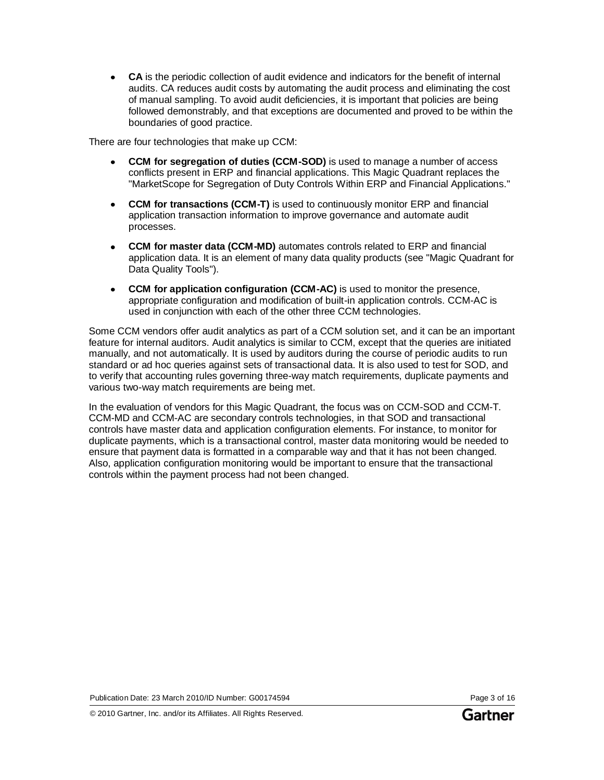**CA** is the periodic collection of audit evidence and indicators for the benefit of internal audits. CA reduces audit costs by automating the audit process and eliminating the cost of manual sampling. To avoid audit deficiencies, it is important that policies are being followed demonstrably, and that exceptions are documented and proved to be within the boundaries of good practice.

There are four technologies that make up CCM:

- **CCM for segregation of duties (CCM-SOD)** is used to manage a number of access conflicts present in ERP and financial applications. This Magic Quadrant replaces the "MarketScope for Segregation of Duty Controls Within ERP and Financial Applications."
- **CCM for transactions (CCM-T)** is used to continuously monitor ERP and financial  $\bullet$ application transaction information to improve governance and automate audit processes.
- **CCM for master data (CCM-MD)** automates controls related to ERP and financial application data. It is an element of many data quality products (see "Magic Quadrant for Data Quality Tools").
- **CCM for application configuration (CCM-AC)** is used to monitor the presence, appropriate configuration and modification of built-in application controls. CCM-AC is used in conjunction with each of the other three CCM technologies.

Some CCM vendors offer audit analytics as part of a CCM solution set, and it can be an important feature for internal auditors. Audit analytics is similar to CCM, except that the queries are initiated manually, and not automatically. It is used by auditors during the course of periodic audits to run standard or ad hoc queries against sets of transactional data. It is also used to test for SOD, and to verify that accounting rules governing three-way match requirements, duplicate payments and various two-way match requirements are being met.

In the evaluation of vendors for this Magic Quadrant, the focus was on CCM-SOD and CCM-T. CCM-MD and CCM-AC are secondary controls technologies, in that SOD and transactional controls have master data and application configuration elements. For instance, to monitor for duplicate payments, which is a transactional control, master data monitoring would be needed to ensure that payment data is formatted in a comparable way and that it has not been changed. Also, application configuration monitoring would be important to ensure that the transactional controls within the payment process had not been changed.

Publication Date: 23 March 2010/ID Number: G00174594 Page 3 of 16

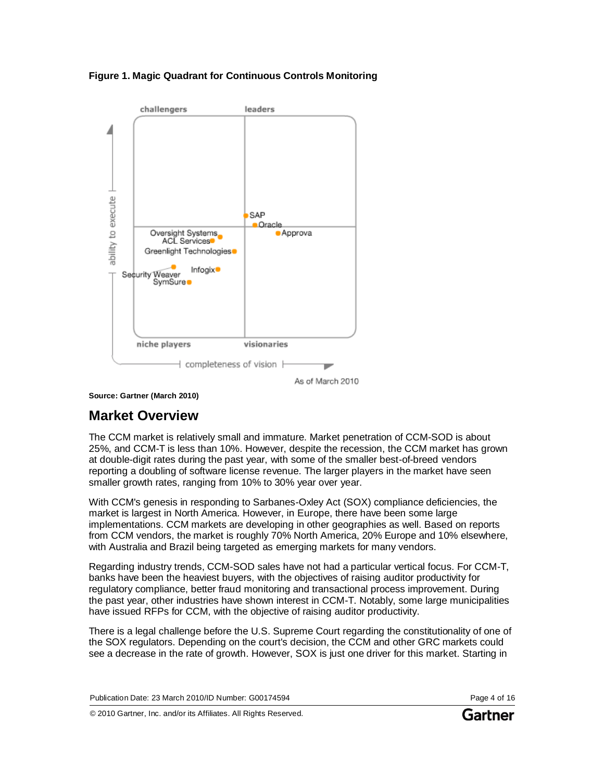**Figure 1. Magic Quadrant for Continuous Controls Monitoring**



**Source: Gartner (March 2010)**

# **Market Overview**

The CCM market is relatively small and immature. Market penetration of CCM-SOD is about 25%, and CCM-T is less than 10%. However, despite the recession, the CCM market has grown at double-digit rates during the past year, with some of the smaller best-of-breed vendors reporting a doubling of software license revenue. The larger players in the market have seen smaller growth rates, ranging from 10% to 30% year over year.

With CCM's genesis in responding to Sarbanes-Oxley Act (SOX) compliance deficiencies, the market is largest in North America. However, in Europe, there have been some large implementations. CCM markets are developing in other geographies as well. Based on reports from CCM vendors, the market is roughly 70% North America, 20% Europe and 10% elsewhere, with Australia and Brazil being targeted as emerging markets for many vendors.

Regarding industry trends, CCM-SOD sales have not had a particular vertical focus. For CCM-T, banks have been the heaviest buyers, with the objectives of raising auditor productivity for regulatory compliance, better fraud monitoring and transactional process improvement. During the past year, other industries have shown interest in CCM-T. Notably, some large municipalities have issued RFPs for CCM, with the objective of raising auditor productivity.

There is a legal challenge before the U.S. Supreme Court regarding the constitutionality of one of the SOX regulators. Depending on the court's decision, the CCM and other GRC markets could see a decrease in the rate of growth. However, SOX is just one driver for this market. Starting in

Publication Date: 23 March 2010/ID Number: G00174594 Page 4 of 16

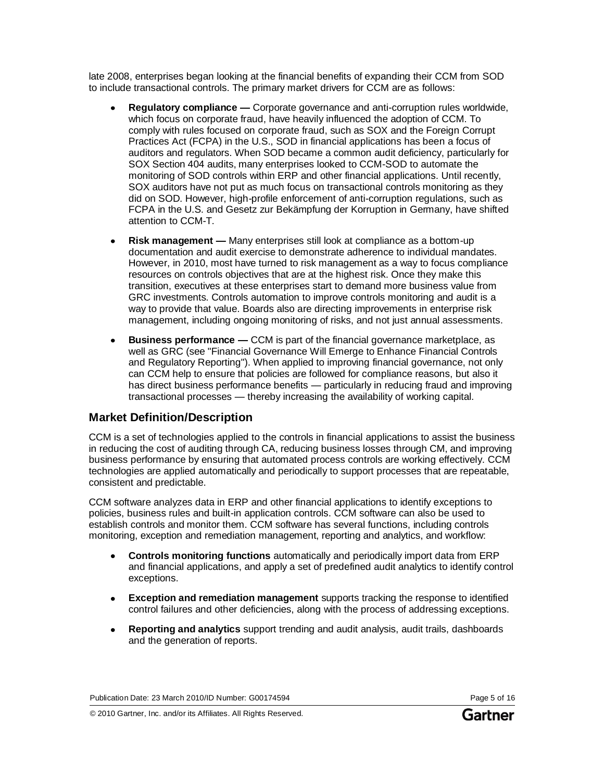late 2008, enterprises began looking at the financial benefits of expanding their CCM from SOD to include transactional controls. The primary market drivers for CCM are as follows:

- **Regulatory compliance —** Corporate governance and anti-corruption rules worldwide, which focus on corporate fraud, have heavily influenced the adoption of CCM. To comply with rules focused on corporate fraud, such as SOX and the Foreign Corrupt Practices Act (FCPA) in the U.S., SOD in financial applications has been a focus of auditors and regulators. When SOD became a common audit deficiency, particularly for SOX Section 404 audits, many enterprises looked to CCM-SOD to automate the monitoring of SOD controls within ERP and other financial applications. Until recently, SOX auditors have not put as much focus on transactional controls monitoring as they did on SOD. However, high-profile enforcement of anti-corruption regulations, such as FCPA in the U.S. and Gesetz zur Bekämpfung der Korruption in Germany, have shifted attention to CCM-T.
- **Risk management —** Many enterprises still look at compliance as a bottom-up documentation and audit exercise to demonstrate adherence to individual mandates. However, in 2010, most have turned to risk management as a way to focus compliance resources on controls objectives that are at the highest risk. Once they make this transition, executives at these enterprises start to demand more business value from GRC investments. Controls automation to improve controls monitoring and audit is a way to provide that value. Boards also are directing improvements in enterprise risk management, including ongoing monitoring of risks, and not just annual assessments.
- **Business performance —** CCM is part of the financial governance marketplace, as well as GRC (see "Financial Governance Will Emerge to Enhance Financial Controls and Regulatory Reporting"). When applied to improving financial governance, not only can CCM help to ensure that policies are followed for compliance reasons, but also it has direct business performance benefits — particularly in reducing fraud and improving transactional processes — thereby increasing the availability of working capital.

## **Market Definition/Description**

CCM is a set of technologies applied to the controls in financial applications to assist the business in reducing the cost of auditing through CA, reducing business losses through CM, and improving business performance by ensuring that automated process controls are working effectively. CCM technologies are applied automatically and periodically to support processes that are repeatable, consistent and predictable.

CCM software analyzes data in ERP and other financial applications to identify exceptions to policies, business rules and built-in application controls. CCM software can also be used to establish controls and monitor them. CCM software has several functions, including controls monitoring, exception and remediation management, reporting and analytics, and workflow:

- **Controls monitoring functions** automatically and periodically import data from ERP and financial applications, and apply a set of predefined audit analytics to identify control exceptions.
- **Exception and remediation management** supports tracking the response to identified  $\bullet$ control failures and other deficiencies, along with the process of addressing exceptions.
- **Reporting and analytics** support trending and audit analysis, audit trails, dashboards and the generation of reports.

Publication Date: 23 March 2010/ID Number: G00174594 Page 5 of 16

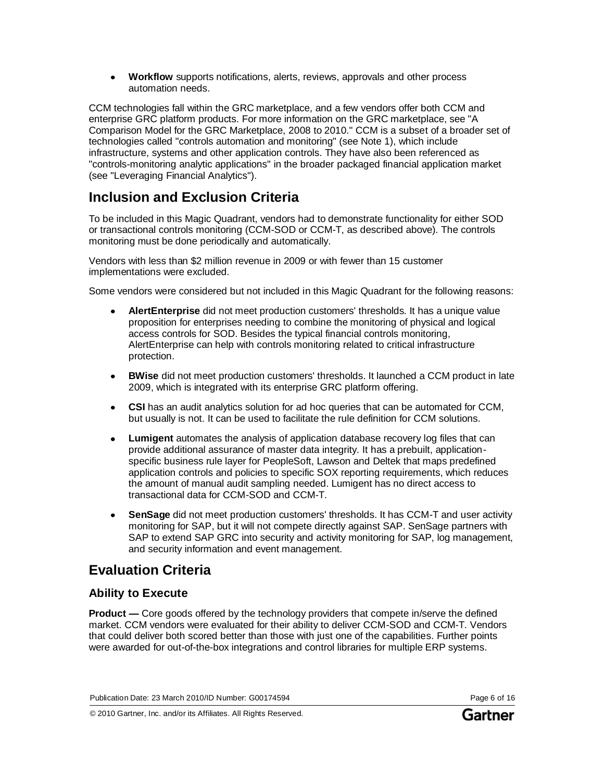**Workflow** supports notifications, alerts, reviews, approvals and other process automation needs.

CCM technologies fall within the GRC marketplace, and a few vendors offer both CCM and enterprise GRC platform products. For more information on the GRC marketplace, see "A Comparison Model for the GRC Marketplace, 2008 to 2010." CCM is a subset of a broader set of technologies called "controls automation and monitoring" (see Note 1), which include infrastructure, systems and other application controls. They have also been referenced as "controls-monitoring analytic applications" in the broader packaged financial application market (see "Leveraging Financial Analytics").

# **Inclusion and Exclusion Criteria**

To be included in this Magic Quadrant, vendors had to demonstrate functionality for either SOD or transactional controls monitoring (CCM-SOD or CCM-T, as described above). The controls monitoring must be done periodically and automatically.

Vendors with less than \$2 million revenue in 2009 or with fewer than 15 customer implementations were excluded.

Some vendors were considered but not included in this Magic Quadrant for the following reasons:

- **AlertEnterprise** did not meet production customers' thresholds. It has a unique value proposition for enterprises needing to combine the monitoring of physical and logical access controls for SOD. Besides the typical financial controls monitoring, AlertEnterprise can help with controls monitoring related to critical infrastructure protection.
- **BWise** did not meet production customers' thresholds. It launched a CCM product in late  $\bullet$ 2009, which is integrated with its enterprise GRC platform offering.
- **CSI** has an audit analytics solution for ad hoc queries that can be automated for CCM,  $\bullet$ but usually is not. It can be used to facilitate the rule definition for CCM solutions.
- **Lumigent** automates the analysis of application database recovery log files that can  $\bullet$ provide additional assurance of master data integrity. It has a prebuilt, applicationspecific business rule layer for PeopleSoft, Lawson and Deltek that maps predefined application controls and policies to specific SOX reporting requirements, which reduces the amount of manual audit sampling needed. Lumigent has no direct access to transactional data for CCM-SOD and CCM-T.
- **SenSage** did not meet production customers' thresholds. It has CCM-T and user activity  $\bullet$ monitoring for SAP, but it will not compete directly against SAP. SenSage partners with SAP to extend SAP GRC into security and activity monitoring for SAP, log management, and security information and event management.

# **Evaluation Criteria**

## **Ability to Execute**

**Product —** Core goods offered by the technology providers that compete in/serve the defined market. CCM vendors were evaluated for their ability to deliver CCM-SOD and CCM-T. Vendors that could deliver both scored better than those with just one of the capabilities. Further points were awarded for out-of-the-box integrations and control libraries for multiple ERP systems.

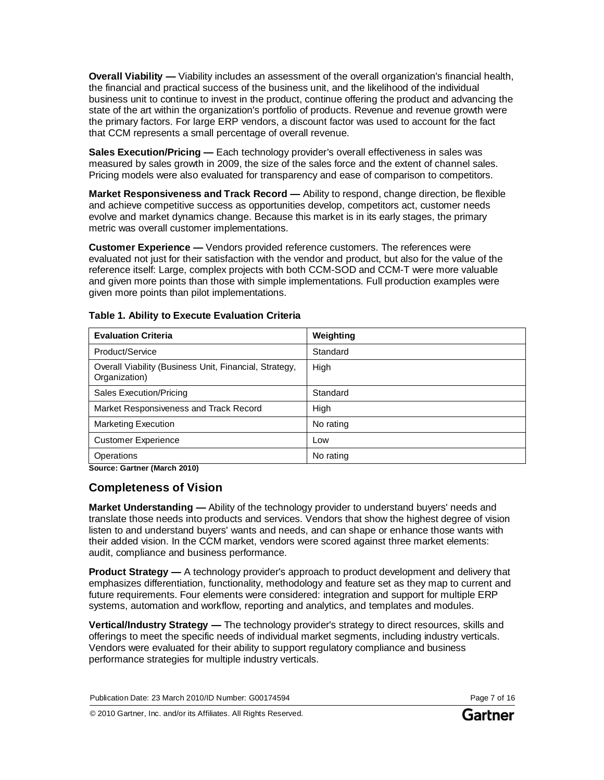**Overall Viability —** Viability includes an assessment of the overall organization's financial health, the financial and practical success of the business unit, and the likelihood of the individual business unit to continue to invest in the product, continue offering the product and advancing the state of the art within the organization's portfolio of products. Revenue and revenue growth were the primary factors. For large ERP vendors, a discount factor was used to account for the fact that CCM represents a small percentage of overall revenue.

**Sales Execution/Pricing —** Each technology provider's overall effectiveness in sales was measured by sales growth in 2009, the size of the sales force and the extent of channel sales. Pricing models were also evaluated for transparency and ease of comparison to competitors.

**Market Responsiveness and Track Record —** Ability to respond, change direction, be flexible and achieve competitive success as opportunities develop, competitors act, customer needs evolve and market dynamics change. Because this market is in its early stages, the primary metric was overall customer implementations.

**Customer Experience —** Vendors provided reference customers. The references were evaluated not just for their satisfaction with the vendor and product, but also for the value of the reference itself: Large, complex projects with both CCM-SOD and CCM-T were more valuable and given more points than those with simple implementations. Full production examples were given more points than pilot implementations.

| <b>Evaluation Criteria</b>                                              | Weighting |
|-------------------------------------------------------------------------|-----------|
| Product/Service                                                         | Standard  |
| Overall Viability (Business Unit, Financial, Strategy,<br>Organization) | High      |
| <b>Sales Execution/Pricing</b>                                          | Standard  |
| Market Responsiveness and Track Record                                  | High      |
| <b>Marketing Execution</b>                                              | No rating |
| <b>Customer Experience</b>                                              | Low       |
| Operations                                                              | No rating |

#### **Table 1. Ability to Execute Evaluation Criteria**

**Source: Gartner (March 2010)**

## **Completeness of Vision**

**Market Understanding —** Ability of the technology provider to understand buyers' needs and translate those needs into products and services. Vendors that show the highest degree of vision listen to and understand buyers' wants and needs, and can shape or enhance those wants with their added vision. In the CCM market, vendors were scored against three market elements: audit, compliance and business performance.

**Product Strategy —** A technology provider's approach to product development and delivery that emphasizes differentiation, functionality, methodology and feature set as they map to current and future requirements. Four elements were considered: integration and support for multiple ERP systems, automation and workflow, reporting and analytics, and templates and modules.

**Vertical/Industry Strategy —** The technology provider's strategy to direct resources, skills and offerings to meet the specific needs of individual market segments, including industry verticals. Vendors were evaluated for their ability to support regulatory compliance and business performance strategies for multiple industry verticals.

Publication Date: 23 March 2010/ID Number: G00174594 Page 7 of 16

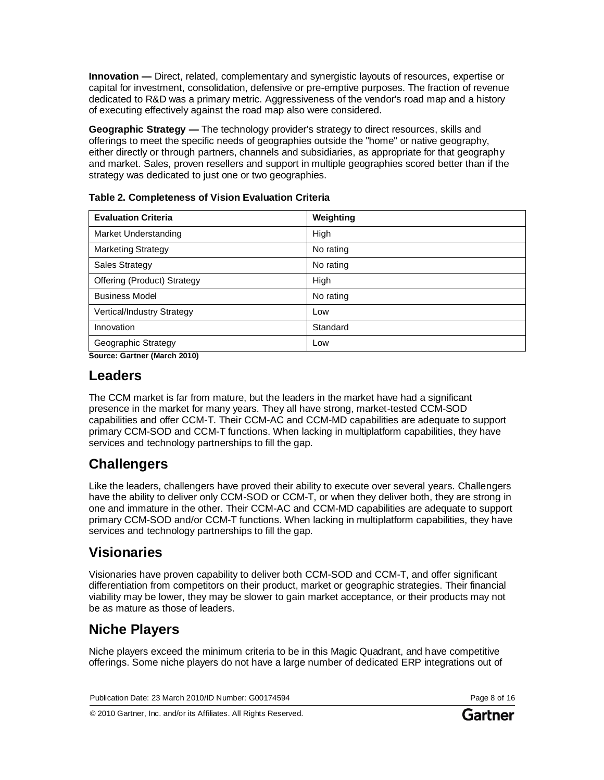**Innovation —** Direct, related, complementary and synergistic layouts of resources, expertise or capital for investment, consolidation, defensive or pre-emptive purposes. The fraction of revenue dedicated to R&D was a primary metric. Aggressiveness of the vendor's road map and a history of executing effectively against the road map also were considered.

**Geographic Strategy —** The technology provider's strategy to direct resources, skills and offerings to meet the specific needs of geographies outside the "home" or native geography, either directly or through partners, channels and subsidiaries, as appropriate for that geography and market. Sales, proven resellers and support in multiple geographies scored better than if the strategy was dedicated to just one or two geographies.

| <b>Evaluation Criteria</b>  | Weighting |
|-----------------------------|-----------|
| Market Understanding        | High      |
| <b>Marketing Strategy</b>   | No rating |
| <b>Sales Strategy</b>       | No rating |
| Offering (Product) Strategy | High      |
| <b>Business Model</b>       | No rating |
| Vertical/Industry Strategy  | Low       |
| Innovation                  | Standard  |
| Geographic Strategy         | Low       |

|  | <b>Table 2. Completeness of Vision Evaluation Criteria</b> |  |  |  |
|--|------------------------------------------------------------|--|--|--|
|--|------------------------------------------------------------|--|--|--|

**Source: Gartner (March 2010)**

## **Leaders**

The CCM market is far from mature, but the leaders in the market have had a significant presence in the market for many years. They all have strong, market-tested CCM-SOD capabilities and offer CCM-T. Their CCM-AC and CCM-MD capabilities are adequate to support primary CCM-SOD and CCM-T functions. When lacking in multiplatform capabilities, they have services and technology partnerships to fill the gap.

## **Challengers**

Like the leaders, challengers have proved their ability to execute over several years. Challengers have the ability to deliver only CCM-SOD or CCM-T, or when they deliver both, they are strong in one and immature in the other. Their CCM-AC and CCM-MD capabilities are adequate to support primary CCM-SOD and/or CCM-T functions. When lacking in multiplatform capabilities, they have services and technology partnerships to fill the gap.

## **Visionaries**

Visionaries have proven capability to deliver both CCM-SOD and CCM-T, and offer significant differentiation from competitors on their product, market or geographic strategies. Their financial viability may be lower, they may be slower to gain market acceptance, or their products may not be as mature as those of leaders.

# **Niche Players**

Niche players exceed the minimum criteria to be in this Magic Quadrant, and have competitive offerings. Some niche players do not have a large number of dedicated ERP integrations out of

Publication Date: 23 March 2010/ID Number: G00174594 Page 8 of 16

© 2010 Gartner, Inc. and/or its Affiliates. All Rights Reserved.

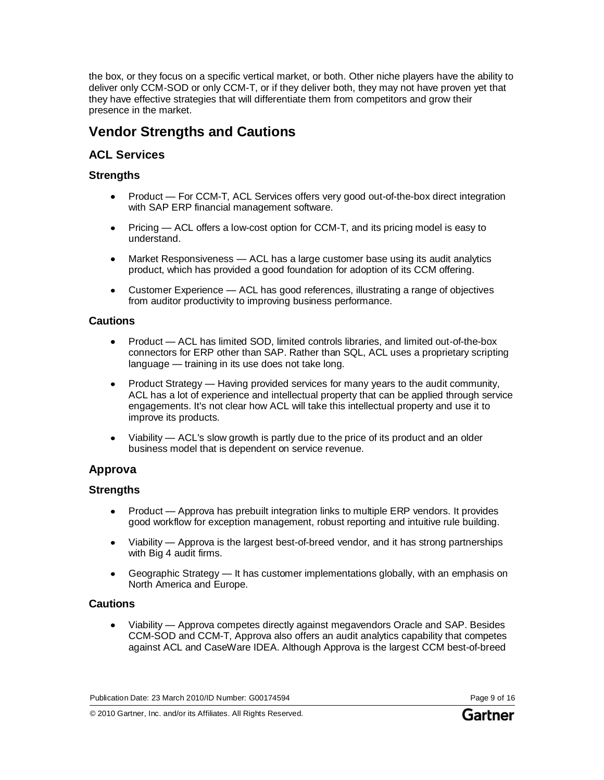the box, or they focus on a specific vertical market, or both. Other niche players have the ability to deliver only CCM-SOD or only CCM-T, or if they deliver both, they may not have proven yet that they have effective strategies that will differentiate them from competitors and grow their presence in the market.

# **Vendor Strengths and Cautions**

## **ACL Services**

## **Strengths**

- Product For CCM-T, ACL Services offers very good out-of-the-box direct integration with SAP ERP financial management software.
- Pricing ACL offers a low-cost option for CCM-T, and its pricing model is easy to  $\bullet$ understand.
- Market Responsiveness ACL has a large customer base using its audit analytics  $\bullet$ product, which has provided a good foundation for adoption of its CCM offering.
- Customer Experience ACL has good references, illustrating a range of objectives  $\bullet$ from auditor productivity to improving business performance.

### **Cautions**

- Product ACL has limited SOD, limited controls libraries, and limited out-of-the-box connectors for ERP other than SAP. Rather than SQL, ACL uses a proprietary scripting language — training in its use does not take long.
- Product Strategy Having provided services for many years to the audit community, ACL has a lot of experience and intellectual property that can be applied through service engagements. It's not clear how ACL will take this intellectual property and use it to improve its products.
- Viability ACL's slow growth is partly due to the price of its product and an older business model that is dependent on service revenue.

## **Approva**

## **Strengths**

- Product Approva has prebuilt integration links to multiple ERP vendors. It provides good workflow for exception management, robust reporting and intuitive rule building.
- Viability Approva is the largest best-of-breed vendor, and it has strong partnerships with Big 4 audit firms.
- Geographic Strategy It has customer implementations globally, with an emphasis on North America and Europe.

### **Cautions**

Viability — Approva competes directly against megavendors Oracle and SAP. Besides  $\bullet$ CCM-SOD and CCM-T, Approva also offers an audit analytics capability that competes against ACL and CaseWare IDEA. Although Approva is the largest CCM best-of-breed

Publication Date: 23 March 2010/ID Number: G00174594 Page 9 of 16

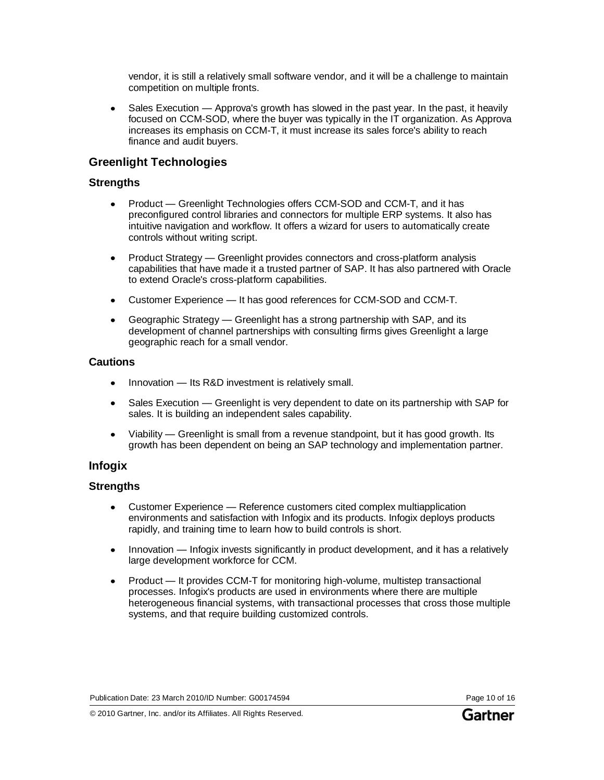vendor, it is still a relatively small software vendor, and it will be a challenge to maintain competition on multiple fronts.

Sales Execution — Approva's growth has slowed in the past year. In the past, it heavily  $\bullet$ focused on CCM-SOD, where the buyer was typically in the IT organization. As Approva increases its emphasis on CCM-T, it must increase its sales force's ability to reach finance and audit buyers.

## **Greenlight Technologies**

### **Strengths**

- Product Greenlight Technologies offers CCM-SOD and CCM-T, and it has  $\bullet$ preconfigured control libraries and connectors for multiple ERP systems. It also has intuitive navigation and workflow. It offers a wizard for users to automatically create controls without writing script.
- Product Strategy Greenlight provides connectors and cross-platform analysis  $\bullet$ capabilities that have made it a trusted partner of SAP. It has also partnered with Oracle to extend Oracle's cross-platform capabilities.
- Customer Experience It has good references for CCM-SOD and CCM-T.
- Geographic Strategy Greenlight has a strong partnership with SAP, and its development of channel partnerships with consulting firms gives Greenlight a large geographic reach for a small vendor.

#### **Cautions**

- Innovation Its R&D investment is relatively small.
- Sales Execution Greenlight is very dependent to date on its partnership with SAP for sales. It is building an independent sales capability.
- Viability Greenlight is small from a revenue standpoint, but it has good growth. Its growth has been dependent on being an SAP technology and implementation partner.

## **Infogix**

### **Strengths**

- Customer Experience Reference customers cited complex multiapplication environments and satisfaction with Infogix and its products. Infogix deploys products rapidly, and training time to learn how to build controls is short.
- Innovation Infogix invests significantly in product development, and it has a relatively  $\bullet$ large development workforce for CCM.
- Product It provides CCM-T for monitoring high-volume, multistep transactional processes. Infogix's products are used in environments where there are multiple heterogeneous financial systems, with transactional processes that cross those multiple systems, and that require building customized controls.

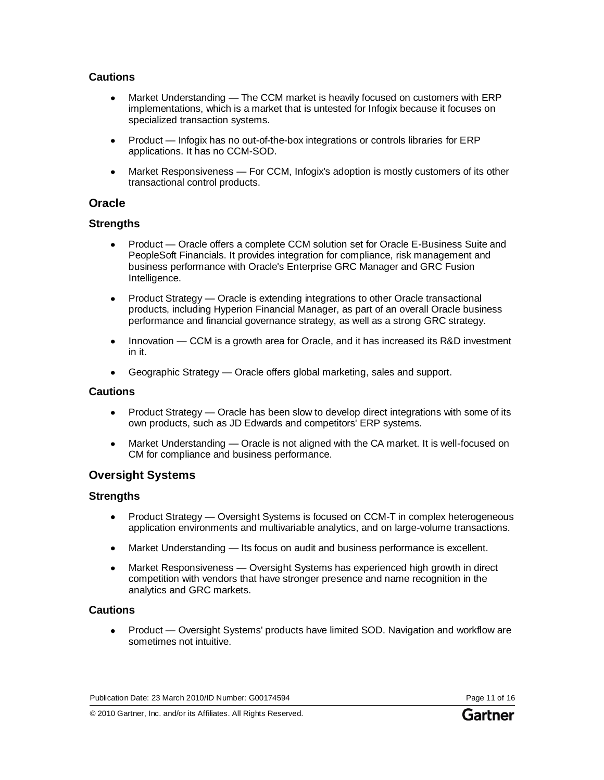### **Cautions**

- Market Understanding The CCM market is heavily focused on customers with ERP implementations, which is a market that is untested for Infogix because it focuses on specialized transaction systems.
- Product Infogix has no out-of-the-box integrations or controls libraries for ERP applications. It has no CCM-SOD.
- Market Responsiveness For CCM, Infogix's adoption is mostly customers of its other transactional control products.

### **Oracle**

### **Strengths**

- Product Oracle offers a complete CCM solution set for Oracle E-Business Suite and PeopleSoft Financials. It provides integration for compliance, risk management and business performance with Oracle's Enterprise GRC Manager and GRC Fusion Intelligence.
- Product Strategy Oracle is extending integrations to other Oracle transactional  $\bullet$ products, including Hyperion Financial Manager, as part of an overall Oracle business performance and financial governance strategy, as well as a strong GRC strategy.
- Innovation CCM is a growth area for Oracle, and it has increased its R&D investment in it.
- Geographic Strategy Oracle offers global marketing, sales and support.

#### **Cautions**

- Product Strategy Oracle has been slow to develop direct integrations with some of its  $\bullet$ own products, such as JD Edwards and competitors' ERP systems.
- Market Understanding Oracle is not aligned with the CA market. It is well-focused on  $\bullet$ CM for compliance and business performance.

## **Oversight Systems**

### **Strengths**

- Product Strategy Oversight Systems is focused on CCM-T in complex heterogeneous  $\bullet$ application environments and multivariable analytics, and on large-volume transactions.
- Market Understanding Its focus on audit and business performance is excellent.  $\bullet$
- Market Responsiveness Oversight Systems has experienced high growth in direct  $\bullet$ competition with vendors that have stronger presence and name recognition in the analytics and GRC markets.

### **Cautions**

Product — Oversight Systems' products have limited SOD. Navigation and workflow are  $\bullet$ sometimes not intuitive.

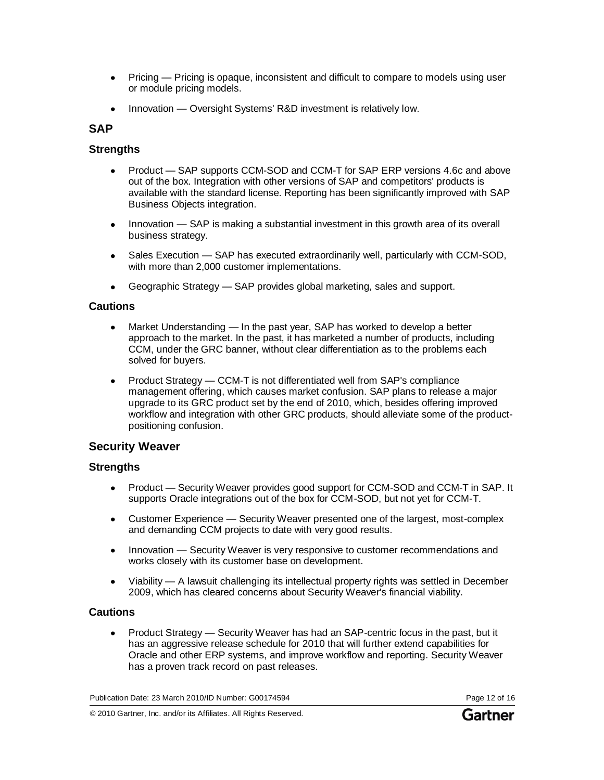- Pricing Pricing is opaque, inconsistent and difficult to compare to models using user or module pricing models.
- Innovation Oversight Systems' R&D investment is relatively low.

### **SAP**

### **Strengths**

- Product SAP supports CCM-SOD and CCM-T for SAP ERP versions 4.6c and above  $\bullet$ out of the box. Integration with other versions of SAP and competitors' products is available with the standard license. Reporting has been significantly improved with SAP Business Objects integration.
- Innovation SAP is making a substantial investment in this growth area of its overall business strategy.
- Sales Execution SAP has executed extraordinarily well, particularly with CCM-SOD, with more than 2,000 customer implementations.
- Geographic Strategy SAP provides global marketing, sales and support.

### **Cautions**

- Market Understanding In the past year, SAP has worked to develop a better approach to the market. In the past, it has marketed a number of products, including CCM, under the GRC banner, without clear differentiation as to the problems each solved for buyers.
- Product Strategy CCM-T is not differentiated well from SAP's compliance  $\bullet$ management offering, which causes market confusion. SAP plans to release a major upgrade to its GRC product set by the end of 2010, which, besides offering improved workflow and integration with other GRC products, should alleviate some of the productpositioning confusion.

## **Security Weaver**

### **Strengths**

- Product Security Weaver provides good support for CCM-SOD and CCM-T in SAP. It supports Oracle integrations out of the box for CCM-SOD, but not yet for CCM-T.
- Customer Experience Security Weaver presented one of the largest, most-complex  $\bullet$ and demanding CCM projects to date with very good results.
- Innovation Security Weaver is very responsive to customer recommendations and  $\bullet$ works closely with its customer base on development.
- Viability A lawsuit challenging its intellectual property rights was settled in December 2009, which has cleared concerns about Security Weaver's financial viability.

### **Cautions**

Product Strategy — Security Weaver has had an SAP-centric focus in the past, but it has an aggressive release schedule for 2010 that will further extend capabilities for Oracle and other ERP systems, and improve workflow and reporting. Security Weaver has a proven track record on past releases.

Publication Date: 23 March 2010/ID Number: G00174594 Page 12 of 16

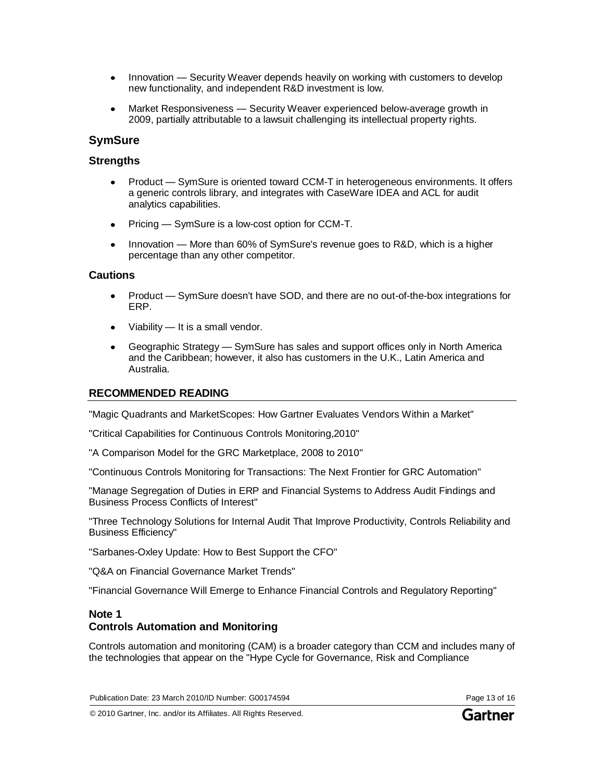- Innovation Security Weaver depends heavily on working with customers to develop new functionality, and independent R&D investment is low.
- Market Responsiveness Security Weaver experienced below-average growth in 2009, partially attributable to a lawsuit challenging its intellectual property rights.

## **SymSure**

### **Strengths**

- Product SymSure is oriented toward CCM-T in heterogeneous environments. It offers a generic controls library, and integrates with CaseWare IDEA and ACL for audit analytics capabilities.
- Pricing SymSure is a low-cost option for CCM-T.  $\bullet$
- Innovation More than 60% of SymSure's revenue goes to R&D, which is a higher percentage than any other competitor.

### **Cautions**

- Product SymSure doesn't have SOD, and there are no out-of-the-box integrations for  $\bullet$ ERP.
- Viability It is a small vendor.
- Geographic Strategy SymSure has sales and support offices only in North America and the Caribbean; however, it also has customers in the U.K., Latin America and Australia.

### **RECOMMENDED READING**

"Magic Quadrants and MarketScopes: How Gartner Evaluates Vendors Within a Market"

"Critical Capabilities for Continuous Controls Monitoring,2010"

"A Comparison Model for the GRC Marketplace, 2008 to 2010"

"Continuous Controls Monitoring for Transactions: The Next Frontier for GRC Automation"

"Manage Segregation of Duties in ERP and Financial Systems to Address Audit Findings and Business Process Conflicts of Interest"

"Three Technology Solutions for Internal Audit That Improve Productivity, Controls Reliability and Business Efficiency"

"Sarbanes-Oxley Update: How to Best Support the CFO"

"Q&A on Financial Governance Market Trends"

"Financial Governance Will Emerge to Enhance Financial Controls and Regulatory Reporting"

### **Note 1 Controls Automation and Monitoring**

Controls automation and monitoring (CAM) is a broader category than CCM and includes many of the technologies that appear on the "Hype Cycle for Governance, Risk and Compliance

Publication Date: 23 March 2010/ID Number: G00174594 Page 13 of 16

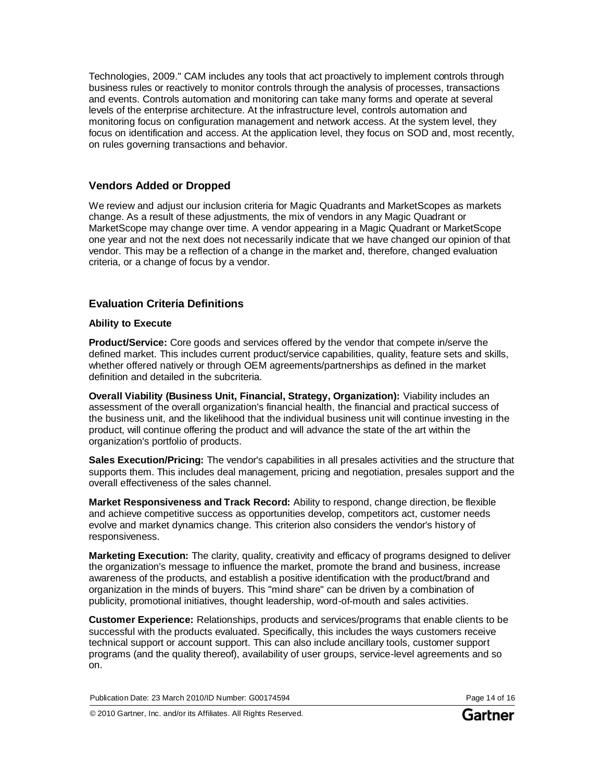Technologies, 2009." CAM includes any tools that act proactively to implement controls through business rules or reactively to monitor controls through the analysis of processes, transactions and events. Controls automation and monitoring can take many forms and operate at several levels of the enterprise architecture. At the infrastructure level, controls automation and monitoring focus on configuration management and network access. At the system level, they focus on identification and access. At the application level, they focus on SOD and, most recently, on rules governing transactions and behavior.

### **Vendors Added or Dropped**

We review and adjust our inclusion criteria for Magic Quadrants and MarketScopes as markets change. As a result of these adjustments, the mix of vendors in any Magic Quadrant or MarketScope may change over time. A vendor appearing in a Magic Quadrant or MarketScope one year and not the next does not necessarily indicate that we have changed our opinion of that vendor. This may be a reflection of a change in the market and, therefore, changed evaluation criteria, or a change of focus by a vendor.

## **Evaluation Criteria Definitions**

#### **Ability to Execute**

**Product/Service:** Core goods and services offered by the vendor that compete in/serve the defined market. This includes current product/service capabilities, quality, feature sets and skills, whether offered natively or through OEM agreements/partnerships as defined in the market definition and detailed in the subcriteria.

**Overall Viability (Business Unit, Financial, Strategy, Organization):** Viability includes an assessment of the overall organization's financial health, the financial and practical success of the business unit, and the likelihood that the individual business unit will continue investing in the product, will continue offering the product and will advance the state of the art within the organization's portfolio of products.

**Sales Execution/Pricing:** The vendor's capabilities in all presales activities and the structure that supports them. This includes deal management, pricing and negotiation, presales support and the overall effectiveness of the sales channel.

**Market Responsiveness and Track Record:** Ability to respond, change direction, be flexible and achieve competitive success as opportunities develop, competitors act, customer needs evolve and market dynamics change. This criterion also considers the vendor's history of responsiveness.

**Marketing Execution:** The clarity, quality, creativity and efficacy of programs designed to deliver the organization's message to influence the market, promote the brand and business, increase awareness of the products, and establish a positive identification with the product/brand and organization in the minds of buyers. This "mind share" can be driven by a combination of publicity, promotional initiatives, thought leadership, word-of-mouth and sales activities.

**Customer Experience:** Relationships, products and services/programs that enable clients to be successful with the products evaluated. Specifically, this includes the ways customers receive technical support or account support. This can also include ancillary tools, customer support programs (and the quality thereof), availability of user groups, service-level agreements and so on.

Publication Date: 23 March 2010/ID Number: G00174594 Page 14 of 16

© 2010 Gartner, Inc. and/or its Affiliates. All Rights Reserved.

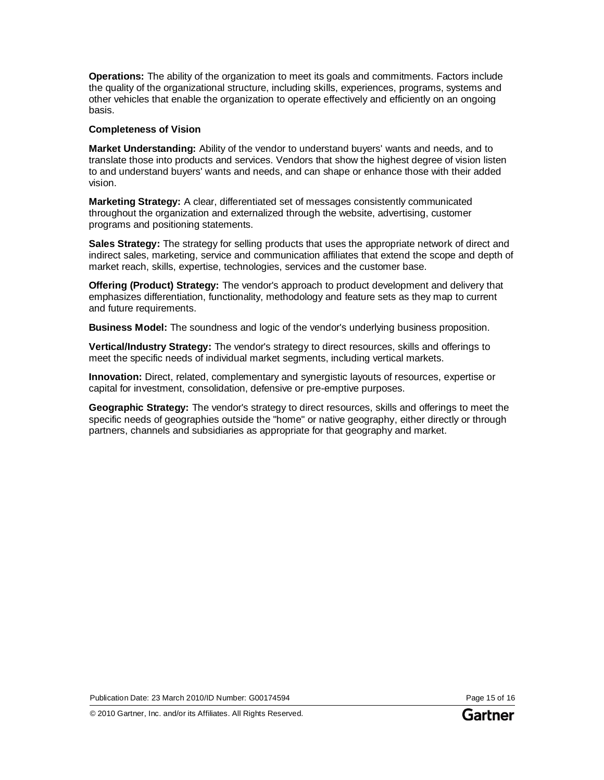**Operations:** The ability of the organization to meet its goals and commitments. Factors include the quality of the organizational structure, including skills, experiences, programs, systems and other vehicles that enable the organization to operate effectively and efficiently on an ongoing basis.

#### **Completeness of Vision**

**Market Understanding:** Ability of the vendor to understand buyers' wants and needs, and to translate those into products and services. Vendors that show the highest degree of vision listen to and understand buyers' wants and needs, and can shape or enhance those with their added vision.

**Marketing Strategy:** A clear, differentiated set of messages consistently communicated throughout the organization and externalized through the website, advertising, customer programs and positioning statements.

**Sales Strategy:** The strategy for selling products that uses the appropriate network of direct and indirect sales, marketing, service and communication affiliates that extend the scope and depth of market reach, skills, expertise, technologies, services and the customer base.

**Offering (Product) Strategy:** The vendor's approach to product development and delivery that emphasizes differentiation, functionality, methodology and feature sets as they map to current and future requirements.

**Business Model:** The soundness and logic of the vendor's underlying business proposition.

**Vertical/Industry Strategy:** The vendor's strategy to direct resources, skills and offerings to meet the specific needs of individual market segments, including vertical markets.

**Innovation:** Direct, related, complementary and synergistic layouts of resources, expertise or capital for investment, consolidation, defensive or pre-emptive purposes.

**Geographic Strategy:** The vendor's strategy to direct resources, skills and offerings to meet the specific needs of geographies outside the "home" or native geography, either directly or through partners, channels and subsidiaries as appropriate for that geography and market.

Publication Date: 23 March 2010/ID Number: G00174594 Page 15 of 16